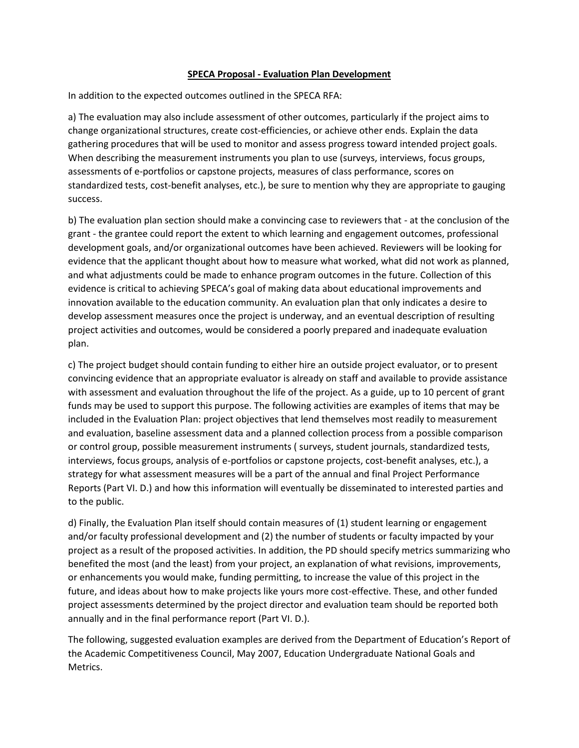## **SPECA Proposal - Evaluation Plan Development**

In addition to the expected outcomes outlined in the SPECA RFA:

a) The evaluation may also include assessment of other outcomes, particularly if the project aims to change organizational structures, create cost-efficiencies, or achieve other ends. Explain the data gathering procedures that will be used to monitor and assess progress toward intended project goals. When describing the measurement instruments you plan to use (surveys, interviews, focus groups, assessments of e-portfolios or capstone projects, measures of class performance, scores on standardized tests, cost-benefit analyses, etc.), be sure to mention why they are appropriate to gauging success.

b) The evaluation plan section should make a convincing case to reviewers that - at the conclusion of the grant - the grantee could report the extent to which learning and engagement outcomes, professional development goals, and/or organizational outcomes have been achieved. Reviewers will be looking for evidence that the applicant thought about how to measure what worked, what did not work as planned, and what adjustments could be made to enhance program outcomes in the future. Collection of this evidence is critical to achieving SPECA's goal of making data about educational improvements and innovation available to the education community. An evaluation plan that only indicates a desire to develop assessment measures once the project is underway, and an eventual description of resulting project activities and outcomes, would be considered a poorly prepared and inadequate evaluation plan.

c) The project budget should contain funding to either hire an outside project evaluator, or to present convincing evidence that an appropriate evaluator is already on staff and available to provide assistance with assessment and evaluation throughout the life of the project. As a guide, up to 10 percent of grant funds may be used to support this purpose. The following activities are examples of items that may be included in the Evaluation Plan: project objectives that lend themselves most readily to measurement and evaluation, baseline assessment data and a planned collection process from a possible comparison or control group, possible measurement instruments ( surveys, student journals, standardized tests, interviews, focus groups, analysis of e-portfolios or capstone projects, cost-benefit analyses, etc.), a strategy for what assessment measures will be a part of the annual and final Project Performance Reports (Part VI. D.) and how this information will eventually be disseminated to interested parties and to the public.

d) Finally, the Evaluation Plan itself should contain measures of (1) student learning or engagement and/or faculty professional development and (2) the number of students or faculty impacted by your project as a result of the proposed activities. In addition, the PD should specify metrics summarizing who benefited the most (and the least) from your project, an explanation of what revisions, improvements, or enhancements you would make, funding permitting, to increase the value of this project in the future, and ideas about how to make projects like yours more cost-effective. These, and other funded project assessments determined by the project director and evaluation team should be reported both annually and in the final performance report (Part VI. D.).

The following, suggested evaluation examples are derived from the Department of Education's Report of the Academic Competitiveness Council, May 2007, Education Undergraduate National Goals and Metrics.